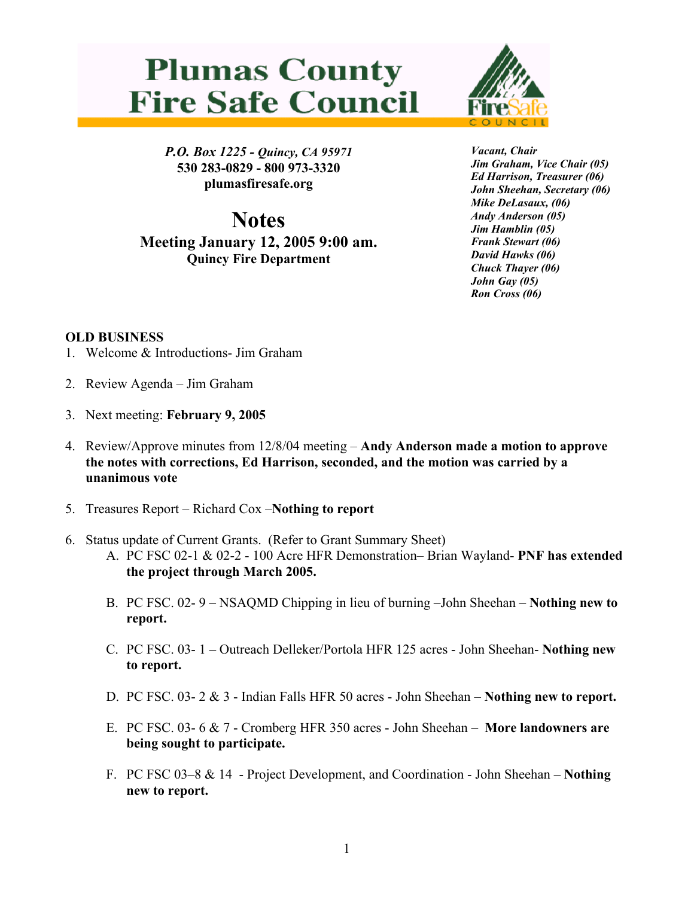## **Plumas County Fire Safe Council**



*P.O. Box 1225 - Quincy, CA 95971*  **530 283-0829 - 800 973-3320 plumasfiresafe.org** 

**Notes Meeting January 12, 2005 9:00 am. Quincy Fire Department**

*Vacant, Chair Jim Graham, Vice Chair (05) Ed Harrison, Treasurer (06) John Sheehan, Secretary (06) Mike DeLasaux, (06) Andy Anderson (05) Jim Hamblin (05) Frank Stewart (06) David Hawks (06) Chuck Thayer (06) John Gay (05) Ron Cross (06)*

## **OLD BUSINESS**

- 1. Welcome & Introductions- Jim Graham
- 2. Review Agenda Jim Graham
- 3. Next meeting: **February 9, 2005**
- 4. Review/Approve minutes from 12/8/04 meeting **Andy Anderson made a motion to approve the notes with corrections, Ed Harrison, seconded, and the motion was carried by a unanimous vote**
- 5. Treasures Report Richard Cox –**Nothing to report**
- 6. Status update of Current Grants. (Refer to Grant Summary Sheet)
	- A. PC FSC 02-1 & 02-2 100 Acre HFR Demonstration– Brian Wayland- **PNF has extended the project through March 2005.**
	- B. PC FSC. 02- 9 NSAQMD Chipping in lieu of burning –John Sheehan **Nothing new to report.**
	- C. PC FSC. 03- 1 Outreach Delleker/Portola HFR 125 acres John Sheehan- **Nothing new to report.**
	- D. PC FSC. 03- 2 & 3 Indian Falls HFR 50 acres John Sheehan **Nothing new to report.**
	- E. PC FSC. 03- 6 & 7 Cromberg HFR 350 acres John Sheehan **More landowners are being sought to participate.**
	- F. PC FSC 03–8 & 14 Project Development, and Coordination John Sheehan – **Nothing new to report.**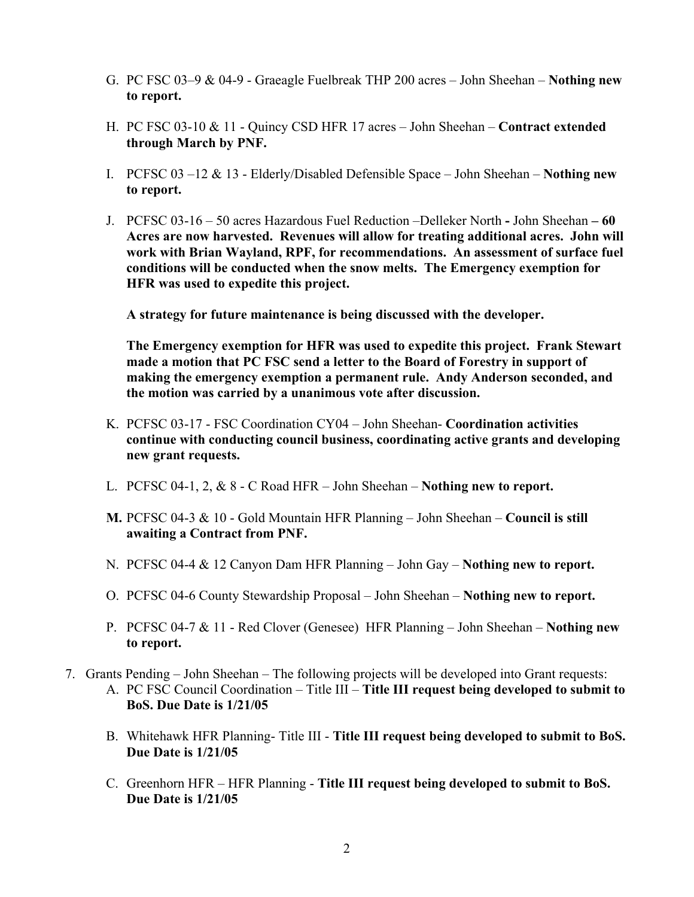- G. PC FSC 03–9 & 04-9 Graeagle Fuelbreak THP 200 acres John Sheehan **Nothing new to report.**
- H. PC FSC 03-10 & 11 Quincy CSD HFR 17 acres John Sheehan – **Contract extended through March by PNF.**
- I. PCFSC 03 –12 & 13 Elderly/Disabled Defensible Space John Sheehan **Nothing new to report.**
- J. PCFSC 03-16 50 acres Hazardous Fuel Reduction –Delleker North **-** John Sheehan **60 Acres are now harvested. Revenues will allow for treating additional acres. John will work with Brian Wayland, RPF, for recommendations. An assessment of surface fuel conditions will be conducted when the snow melts. The Emergency exemption for HFR was used to expedite this project.**

**A strategy for future maintenance is being discussed with the developer.** 

**The Emergency exemption for HFR was used to expedite this project. Frank Stewart made a motion that PC FSC send a letter to the Board of Forestry in support of making the emergency exemption a permanent rule. Andy Anderson seconded, and the motion was carried by a unanimous vote after discussion.** 

- K. PCFSC 03-17 FSC Coordination CY04 John Sheehan- **Coordination activities continue with conducting council business, coordinating active grants and developing new grant requests.**
- L. PCFSC 04-1, 2, & 8 C Road HFR John Sheehan **Nothing new to report.**
- **M.** PCFSC 04-3 & 10 Gold Mountain HFR Planning John Sheehan **Council is still awaiting a Contract from PNF.**
- N. PCFSC 04-4 & 12 Canyon Dam HFR Planning John Gay **Nothing new to report.**
- O. PCFSC 04-6 County Stewardship Proposal John Sheehan **Nothing new to report.**
- P. PCFSC 04-7 & 11 Red Clover (Genesee) HFR Planning John Sheehan **Nothing new to report.**
- 7. Grants Pending John Sheehan The following projects will be developed into Grant requests: A. PC FSC Council Coordination – Title III – **Title III request being developed to submit to BoS. Due Date is 1/21/05**
	- B. Whitehawk HFR Planning- Title III - **Title III request being developed to submit to BoS. Due Date is 1/21/05**
	- C. Greenhorn HFR HFR Planning **Title III request being developed to submit to BoS. Due Date is 1/21/05**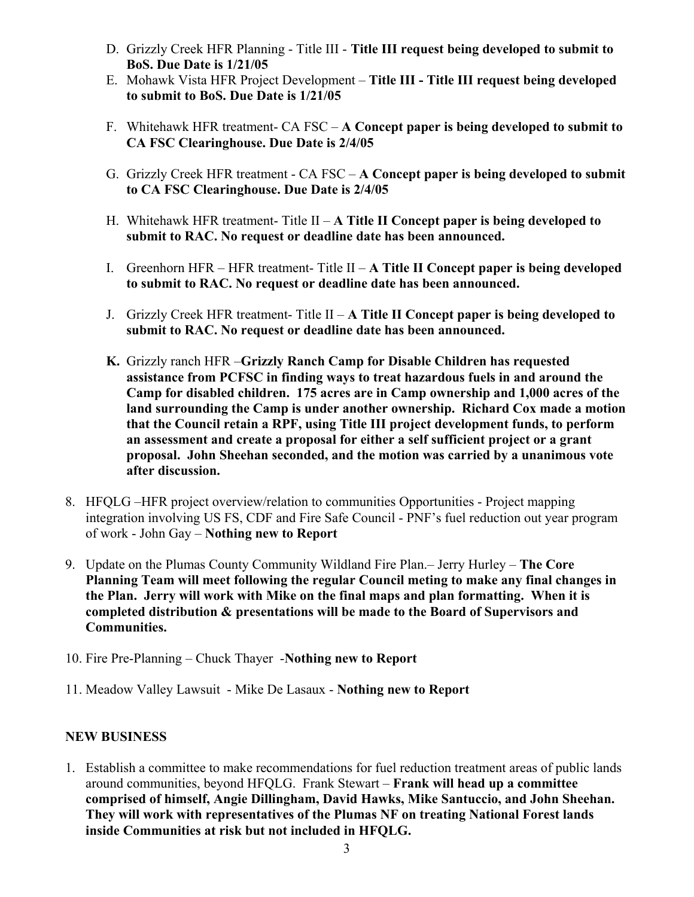- D. Grizzly Creek HFR Planning Title III **Title III request being developed to submit to BoS. Due Date is 1/21/05**
- E. Mohawk Vista HFR Project Development – **Title III Title III request being developed to submit to BoS. Due Date is 1/21/05**
- F. Whitehawk HFR treatment- CA FSC **A Concept paper is being developed to submit to CA FSC Clearinghouse. Due Date is 2/4/05**
- G. Grizzly Creek HFR treatment CA FSC **A Concept paper is being developed to submit to CA FSC Clearinghouse. Due Date is 2/4/05**
- H. Whitehawk HFR treatment- Title II **A Title II Concept paper is being developed to submit to RAC. No request or deadline date has been announced.**
- I. Greenhorn HFR HFR treatment- Title II **A Title II Concept paper is being developed to submit to RAC. No request or deadline date has been announced.**
- J. Grizzly Creek HFR treatment- Title II **A Title II Concept paper is being developed to submit to RAC. No request or deadline date has been announced.**
- **K.** Grizzly ranch HFR –**Grizzly Ranch Camp for Disable Children has requested assistance from PCFSC in finding ways to treat hazardous fuels in and around the Camp for disabled children. 175 acres are in Camp ownership and 1,000 acres of the land surrounding the Camp is under another ownership. Richard Cox made a motion that the Council retain a RPF, using Title III project development funds, to perform an assessment and create a proposal for either a self sufficient project or a grant proposal. John Sheehan seconded, and the motion was carried by a unanimous vote after discussion.**
- 8. HFQLG –HFR project overview/relation to communities Opportunities Project mapping integration involving US FS, CDF and Fire Safe Council - PNF's fuel reduction out year program of work - John Gay – **Nothing new to Report**
- 9. Update on the Plumas County Community Wildland Fire Plan.– Jerry Hurley **The Core Planning Team will meet following the regular Council meting to make any final changes in the Plan. Jerry will work with Mike on the final maps and plan formatting. When it is completed distribution & presentations will be made to the Board of Supervisors and Communities.**
- 10. Fire Pre-Planning Chuck Thayer -**Nothing new to Report**
- 11. Meadow Valley Lawsuit Mike De Lasaux **Nothing new to Report**

## **NEW BUSINESS**

1. Establish a committee to make recommendations for fuel reduction treatment areas of public lands around communities, beyond HFQLG. Frank Stewart – **Frank will head up a committee comprised of himself, Angie Dillingham, David Hawks, Mike Santuccio, and John Sheehan. They will work with representatives of the Plumas NF on treating National Forest lands inside Communities at risk but not included in HFQLG.**